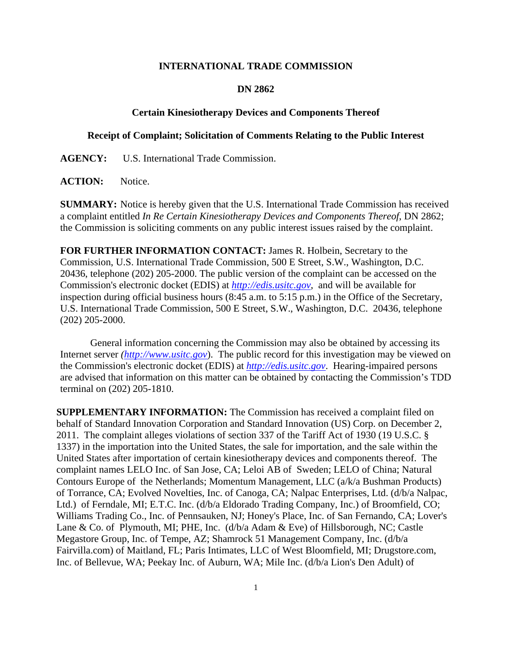## **INTERNATIONAL TRADE COMMISSION**

## **DN 2862**

## **Certain Kinesiotherapy Devices and Components Thereof**

## **Receipt of Complaint; Solicitation of Comments Relating to the Public Interest**

**AGENCY:** U.S. International Trade Commission.

ACTION: Notice.

**SUMMARY:** Notice is hereby given that the U.S. International Trade Commission has received a complaint entitled *In Re Certain Kinesiotherapy Devices and Components Thereof*, DN 2862; the Commission is soliciting comments on any public interest issues raised by the complaint.

**FOR FURTHER INFORMATION CONTACT:** James R. Holbein, Secretary to the Commission, U.S. International Trade Commission, 500 E Street, S.W., Washington, D.C. 20436, telephone (202) 205-2000. The public version of the complaint can be accessed on the Commission's electronic docket (EDIS) at *http://edis.usitc.gov*,and will be available for inspection during official business hours (8:45 a.m. to 5:15 p.m.) in the Office of the Secretary, U.S. International Trade Commission, 500 E Street, S.W., Washington, D.C. 20436, telephone (202) 205-2000.

General information concerning the Commission may also be obtained by accessing its Internet server *(http://www.usitc.gov*). The public record for this investigation may be viewed on the Commission's electronic docket (EDIS) at *http://edis.usitc.gov*. Hearing-impaired persons are advised that information on this matter can be obtained by contacting the Commission's TDD terminal on (202) 205-1810.

**SUPPLEMENTARY INFORMATION:** The Commission has received a complaint filed on behalf of Standard Innovation Corporation and Standard Innovation (US) Corp. on December 2, 2011. The complaint alleges violations of section 337 of the Tariff Act of 1930 (19 U.S.C. § 1337) in the importation into the United States, the sale for importation, and the sale within the United States after importation of certain kinesiotherapy devices and components thereof. The complaint names LELO Inc. of San Jose, CA; Leloi AB of Sweden; LELO of China; Natural Contours Europe of the Netherlands; Momentum Management, LLC (a/k/a Bushman Products) of Torrance, CA; Evolved Novelties, Inc. of Canoga, CA; Nalpac Enterprises, Ltd. (d/b/a Nalpac, Ltd.) of Ferndale, MI; E.T.C. Inc. (d/b/a Eldorado Trading Company, Inc.) of Broomfield, CO; Williams Trading Co., Inc. of Pennsauken, NJ; Honey's Place, Inc. of San Fernando, CA; Lover's Lane & Co. of Plymouth, MI; PHE, Inc. (d/b/a Adam & Eve) of Hillsborough, NC; Castle Megastore Group, Inc. of Tempe, AZ; Shamrock 51 Management Company, Inc. (d/b/a Fairvilla.com) of Maitland, FL; Paris Intimates, LLC of West Bloomfield, MI; Drugstore.com, Inc. of Bellevue, WA; Peekay Inc. of Auburn, WA; Mile Inc. (d/b/a Lion's Den Adult) of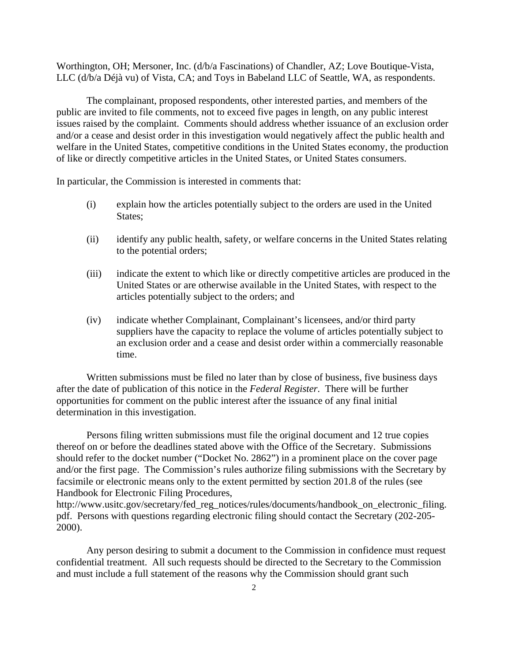Worthington, OH; Mersoner, Inc. (d/b/a Fascinations) of Chandler, AZ; Love Boutique-Vista, LLC (d/b/a Déjà vu) of Vista, CA; and Toys in Babeland LLC of Seattle, WA, as respondents.

 The complainant, proposed respondents, other interested parties, and members of the public are invited to file comments, not to exceed five pages in length, on any public interest issues raised by the complaint. Comments should address whether issuance of an exclusion order and/or a cease and desist order in this investigation would negatively affect the public health and welfare in the United States, competitive conditions in the United States economy, the production of like or directly competitive articles in the United States, or United States consumers.

In particular, the Commission is interested in comments that:

- (i) explain how the articles potentially subject to the orders are used in the United States;
- (ii) identify any public health, safety, or welfare concerns in the United States relating to the potential orders;
- (iii) indicate the extent to which like or directly competitive articles are produced in the United States or are otherwise available in the United States, with respect to the articles potentially subject to the orders; and
- (iv) indicate whether Complainant, Complainant's licensees, and/or third party suppliers have the capacity to replace the volume of articles potentially subject to an exclusion order and a cease and desist order within a commercially reasonable time.

 Written submissions must be filed no later than by close of business, five business days after the date of publication of this notice in the *Federal Register*. There will be further opportunities for comment on the public interest after the issuance of any final initial determination in this investigation.

 Persons filing written submissions must file the original document and 12 true copies thereof on or before the deadlines stated above with the Office of the Secretary. Submissions should refer to the docket number ("Docket No. 2862") in a prominent place on the cover page and/or the first page. The Commission's rules authorize filing submissions with the Secretary by facsimile or electronic means only to the extent permitted by section 201.8 of the rules (see Handbook for Electronic Filing Procedures,

http://www.usitc.gov/secretary/fed\_reg\_notices/rules/documents/handbook\_on\_electronic\_filing. pdf. Persons with questions regarding electronic filing should contact the Secretary (202-205- 2000).

 Any person desiring to submit a document to the Commission in confidence must request confidential treatment. All such requests should be directed to the Secretary to the Commission and must include a full statement of the reasons why the Commission should grant such